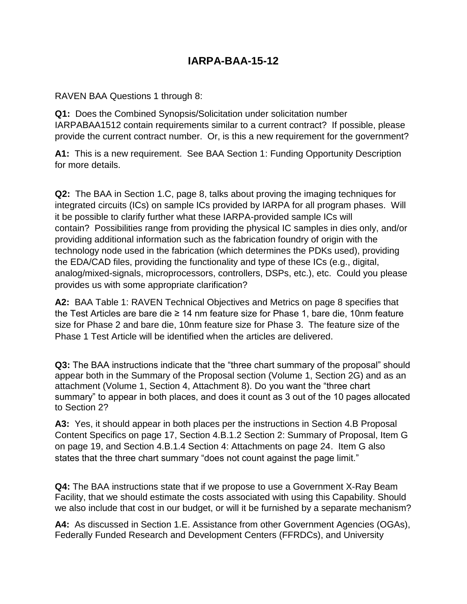## **IARPA-BAA-15-12**

RAVEN BAA Questions 1 through 8:

**Q1:** Does the Combined Synopsis/Solicitation under solicitation number IARPABAA1512 contain requirements similar to a current contract? If possible, please provide the current contract number. Or, is this a new requirement for the government?

**A1:** This is a new requirement. See BAA Section 1: Funding Opportunity Description for more details.

**Q2:** The BAA in Section 1.C, page 8, talks about proving the imaging techniques for integrated circuits (ICs) on sample ICs provided by IARPA for all program phases. Will it be possible to clarify further what these IARPA-provided sample ICs will contain? Possibilities range from providing the physical IC samples in dies only, and/or providing additional information such as the fabrication foundry of origin with the technology node used in the fabrication (which determines the PDKs used), providing the EDA/CAD files, providing the functionality and type of these ICs (e.g., digital, analog/mixed-signals, microprocessors, controllers, DSPs, etc.), etc. Could you please provides us with some appropriate clarification?

**A2:** BAA Table 1: RAVEN Technical Objectives and Metrics on page 8 specifies that the Test Articles are bare die ≥ 14 nm feature size for Phase 1, bare die, 10nm feature size for Phase 2 and bare die, 10nm feature size for Phase 3. The feature size of the Phase 1 Test Article will be identified when the articles are delivered.

**Q3:** The BAA instructions indicate that the "three chart summary of the proposal" should appear both in the Summary of the Proposal section (Volume 1, Section 2G) and as an attachment (Volume 1, Section 4, Attachment 8). Do you want the "three chart summary" to appear in both places, and does it count as 3 out of the 10 pages allocated to Section 2?

**A3:** Yes, it should appear in both places per the instructions in Section 4.B Proposal Content Specifics on page 17, Section 4.B.1.2 Section 2: Summary of Proposal, Item G on page 19, and Section 4.B.1.4 Section 4: Attachments on page 24. Item G also states that the three chart summary "does not count against the page limit."

**Q4:** The BAA instructions state that if we propose to use a Government X-Ray Beam Facility, that we should estimate the costs associated with using this Capability. Should we also include that cost in our budget, or will it be furnished by a separate mechanism?

**A4:** As discussed in Section 1.E. Assistance from other Government Agencies (OGAs), Federally Funded Research and Development Centers (FFRDCs), and University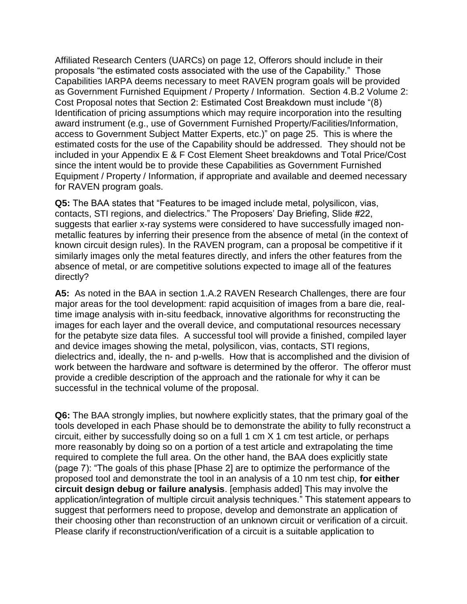Affiliated Research Centers (UARCs) on page 12, Offerors should include in their proposals "the estimated costs associated with the use of the Capability." Those Capabilities IARPA deems necessary to meet RAVEN program goals will be provided as Government Furnished Equipment / Property / Information. Section 4.B.2 Volume 2: Cost Proposal notes that Section 2: Estimated Cost Breakdown must include "(8) Identification of pricing assumptions which may require incorporation into the resulting award instrument (e.g., use of Government Furnished Property/Facilities/Information, access to Government Subject Matter Experts, etc.)" on page 25. This is where the estimated costs for the use of the Capability should be addressed. They should not be included in your Appendix E & F Cost Element Sheet breakdowns and Total Price/Cost since the intent would be to provide these Capabilities as Government Furnished Equipment / Property / Information, if appropriate and available and deemed necessary for RAVEN program goals.

**Q5:** The BAA states that "Features to be imaged include metal, polysilicon, vias, contacts, STI regions, and dielectrics." The Proposers' Day Briefing, Slide #22, suggests that earlier x-ray systems were considered to have successfully imaged nonmetallic features by inferring their presence from the absence of metal (in the context of known circuit design rules). In the RAVEN program, can a proposal be competitive if it similarly images only the metal features directly, and infers the other features from the absence of metal, or are competitive solutions expected to image all of the features directly?

**A5:** As noted in the BAA in section 1.A.2 RAVEN Research Challenges, there are four major areas for the tool development: rapid acquisition of images from a bare die, realtime image analysis with in-situ feedback, innovative algorithms for reconstructing the images for each layer and the overall device, and computational resources necessary for the petabyte size data files. A successful tool will provide a finished, compiled layer and device images showing the metal, polysilicon, vias, contacts, STI regions, dielectrics and, ideally, the n- and p-wells. How that is accomplished and the division of work between the hardware and software is determined by the offeror. The offeror must provide a credible description of the approach and the rationale for why it can be successful in the technical volume of the proposal.

**Q6:** The BAA strongly implies, but nowhere explicitly states, that the primary goal of the tools developed in each Phase should be to demonstrate the ability to fully reconstruct a circuit, either by successfully doing so on a full 1 cm X 1 cm test article, or perhaps more reasonably by doing so on a portion of a test article and extrapolating the time required to complete the full area. On the other hand, the BAA does explicitly state (page 7): "The goals of this phase [Phase 2] are to optimize the performance of the proposed tool and demonstrate the tool in an analysis of a 10 nm test chip, **for either circuit design debug or failure analysis**. [emphasis added] This may involve the application/integration of multiple circuit analysis techniques." This statement appears to suggest that performers need to propose, develop and demonstrate an application of their choosing other than reconstruction of an unknown circuit or verification of a circuit. Please clarify if reconstruction/verification of a circuit is a suitable application to